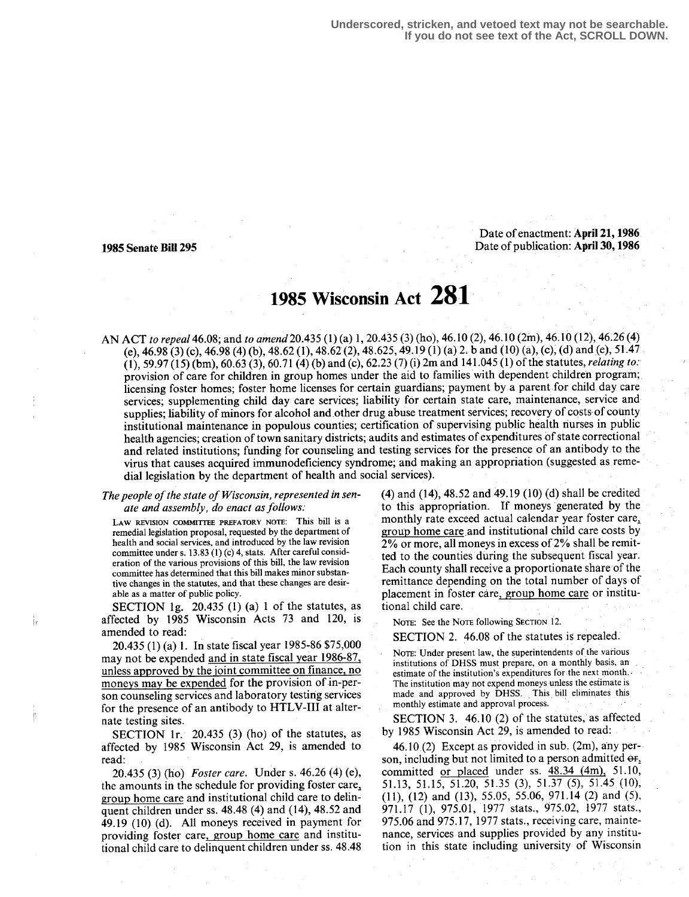**Underscored, stricken, and vetoed text may not be searchable. If you do not see text of the Act, SCROLL DOWN.**

Date of enactment: April 21, 1986 1985 Senate Bill 295 Date of publication : April 30,1986

İе

# 1985 Wisconsin Act 281

AN ACT to repeal 46.08; and to amend 20.435 (1) (a) 1, 20.435 (3) (ho), 46 .10 (2), 46.10 (2in), 46.10 (12), 46.26(4) (e), 46.98 (3) (c), 46.98 (4) (b), 48.62 (1), 48.62 (2), 48.625, 49.19 (1) (a) 2: band (10) (a), (c); (d) and (e), 51 .47  $(1)$ , 59.97 (15) (bm), 60.63 (3), 60.71 (4) (b) and (c), 62.23 (7) (i) 2m and 141.045 (1) of the statutes, relating to: provision of care for children in group homes under the aid to families with dependent children program; licensing foster homes; foster home licenses for certain guardians; payment by a parent for child day care services; supplementing child day care services; liability for certain state care, maintenance, service and supplies; liability of minors for alcohol and other drug abuse treatment services; recovery of costs of county institutional maintenance in populous counties; certification of supervising public health nurses in public health agencies; creation of town sanitary districts; audits and estimates of expenditures of state correctional and related institutions; funding for counseling and testing services for the presence of an antibody to the virus that causes acquired immunodeficiency syndrome; and making an appropriation (suggested as remedial legislation by the department of health and social services).

## The people of the state of Wisconsin, represented in senate and assembly, do enact as follows:

LAW REVISION COMMITTEE PREFATORY NOTE: This bill is a remedial legislation proposal, requested by the department of health and social services, and introduced by the law revision committee under s. 13.83 (1) (c) 4, stats. After careful consideration of the various provisions of this bill, the law revision committee has determined that this bill makes minor substantive changes in the statutes, and that these changes are desirable as a matter of public policy .

SECTION 1g.  $20.435$  (1) (a) 1 of the statutes, as affected by 1985 Wisconsin Acts 73 and 120, is amended to read:

20.435 (1) (a) 1. In state fiscal year 1985-86 \$75,000 may not be expended and in state fiscal year 1986-87, unless approved by the joint committee on finance, no moneys may be expended for the provision of in-person counseling services and laboratory testing services for the presence of an antibody to HTLV-III at alternate testing sites.

SECTION 1r.  $20.435$  (3) (ho) of the statutes, as affected by 1985 Wisconsin Act 29, is amended to read:

20.435 (3) (ho) Foster care. Under s. 46.26 (4) (e), the amounts in the schedule for providing foster care group home care and institutional child care to delinquent children under ss. 48.48 (4) and (14), 48.52 and 49 .19 (10) (d). All moneys received in payment for providing foster care, group home care and institutional child care to delinquent children under ss . 48.48

(4) and (14), 48.52 and 49.19 (10) (d) shall be credited to this appropriation. If moneys generated by the monthly rate exceed actual calendar year foster care, group home care and institutional child care costs by 2% or more, all moneys in excess of 2% shall be remitted to the counties during the subsequent fiscal year. Each county shall receive a proportionate share of the remittance depending on the total number of days of placement in foster care, group home care or institutional child care .

NOTE: See the NOTE following SECTION 12.

SECTION 2. 46.08 of the statutes is repealed.

NOTE: Under present law, the superintendents of the various institutions of DHSS must prepare, on a monthly basis, an . estimate of the institution's expenditures for the next month. The institution may not expend moneys unless the estimate is made and approved by DHSS. This bill eliminates this monthly estimate and approval process .

SECTION 3. 46,10 (2) of the statutes, as affected by 1985 Wisconsin Act 29, is amended to read:

46.10 (2) Except as provided in sub.  $(2m)$ , any person, including but not limited to a person admitted  $\Theta$ F<sub>1</sub>. committed or placed under ss.  $48.34$   $(4m)$ , 51.10, 51 .13, 51 .15, 51 .20, 51 .35 (3), 51 .37 (5), 51 .45 (10), (11), (12) and (13), 55.05, 55.06, 971.14 (2) and (5), 971 .17 (1), 975.01, 1977 stats., 975.02, 1977 stats., 975.06 and 975.17, 1977 stats ., receiving care, maintenance, services and supplies provided by any institution in this state including university of Wisconsin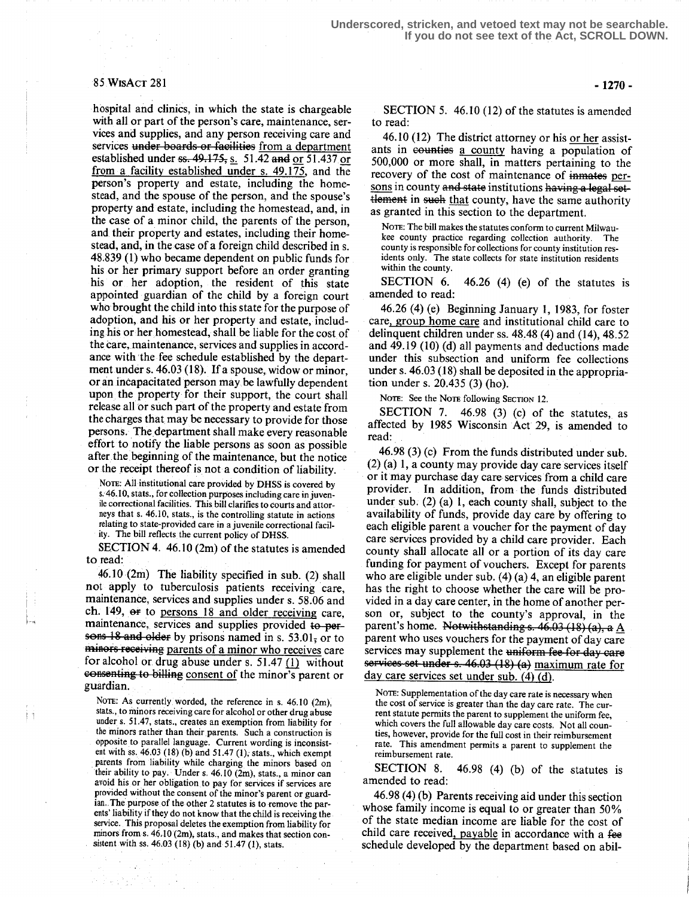### 85 WISACT 281

hospital and clinics, in which the state is chargeable with all or part of the person's care, maintenance, services and supplies, and any person receiving care and services under boards or facilities from a department established under  $\frac{1}{11}$ ,  $\frac{1}{11}$ ,  $\frac{1}{11}$ ,  $\frac{1}{11}$ ,  $\frac{1}{11}$ ,  $\frac{1}{11}$ ,  $\frac{1}{11}$ ,  $\frac{1}{11}$ ,  $\frac{1}{11}$ ,  $\frac{1}{11}$ ,  $\frac{1}{11}$ ,  $\frac{1}{11}$ ,  $\frac{1}{11}$ ,  $\frac{1}{11}$ ,  $\frac{1}{11}$ ,  $\frac{1}{11}$ ,  $\frac{1}{11}$ , from a facility established under s. 49.175, and the person's property and estate, including the homestead, and the spouse of the person, and the spouse's property and estate, including the homestead, and, in the case of a minor child, the parents of the person, and their property and estates, including their homestead, and, in the case of a foreign child described in s. 48.839 (1) who became dependent on public funds for his or her primary support before an order granting his or her adoption, the resident of this state appointed guardian of the child by a foreign court who brought the child into this state for the purpose of adoption, and his or her property and estate, including his or her homestead, shall be liable for the cost of the care, maintenance, services and supplies in accordance with the fee schedule established by the department under s. 46.03 (18). If a spouse, widow or minor, or an incapacitated person may be lawfully dependent upon the property for their support, the court shall release all or such part of the property and estate from the charges that may be necessary to provide for those persons. The department shall make every reasonable effort to notify the liable persons as soon as possible after the beginning of the maintenance, but the notice or the receipt thereof is not a condition of liability.

NOTE: All institutional care provided by DHSS is covered by s. 46.10, stats., for collection purposes including care in juvenile correctional facilities. This bill clarifies to courts and attorneys that s. 46.10, stats., is the controlling statute in actions relating to state-provided care in a juvenile correctional facility. The bill reflects the current policy of DHSS.

SECTION 4. 46.10 (2m) of the statutes is amended to read:

 $46.10$   $(2m)$  The liability specified in sub. (2) shall not apply to tuberculosis patients receiving care, maintenance, services and supplies under s. 58.06 and ch. 149, or to persons 18 and older receiving care, maintenance, services and supplies provided to persons 18 and older by prisons named in s.  $53.01$ , or to minors receiving parents of a minor who receives care for alcohol or drug abuse under s.  $51.47$  (1) without eenseating to billing consent of the minor's parent or guardian.

NOTE: As currently worded, the reference in s. 46.10 (2m),  $\frac{1}{2}$  stats., to minors receiving care for alcohol or other drug abuse under s. 51.47, stats., creates an exemption from liability for the minors rather than their parents. Such a construction is opposite to parallel language . Current wording is inconsistent with ss.  $46.03$  (18) (b) and  $51.47$  (1), stats., which exempt parents from liability while charging the minors based on their ability to pay. Under s . 46.10 (2m), slats ., a minor can avoid his or her obligation to pay for services if services are provided without the consent of the minor's parent or guardian. The purpose of the other 2 statutes is to remove the parents' liability if they do not know that the child is receiving the service. This proposal deletes the exemption from liability for minors from s. 46,10 (2m); slats:, and makes that section consistent with ss. 46.03 (18) (b) and 51.47 (1), stats.

-1270-

SECTION 5. 46.10 (12) of the statutes is amended to read:

46.10 (12) The district attorney or his or her assistants in counties a county having a population of 500,000 or more shall, in matters pertaining to the recovery of the cost of maintenance of inmates persons in county and state institutions having a legal settlement in such that county, have the same authority as granted in this section to the department.

NOTE: The bill makes the statutes conform to current Milwaukee county practice regarding collection authority. The county is responsible for collections for county institution residents only. The state collects for state institution residents within the county.

SECTION 6. 46.26 (4) (e) of the statutes is amended to read:

46.26 (4) (e) Beginning January 1, 1983, for foster care, group home care and institutional child care to delinquent children under ss . 48.48 (4) and (14), 48.52 and 49.19 (10) (d) all payments and deductions made under this subsection and uniform fee collections under s. 46.03 (18) shall be deposited in the appropriation under s.  $20.435(3)$  (ho).

NOTE: See the NOTE following SECTION 12.

SECTION 7.  $46.98$  (3) (c) of the statutes, as affected by 1985 Wisconsin Act 29, is amended to read:

46.98 (3) (c) From the funds distributed under sub. (2) (a) 1, a county may provide day care services itself or it may purchase day care services from a child care provider. In addition, from the funds distributed under sub: (2) (a) l, each county shall, subject to the availability of funds, provide day care by offering to each eligible parent a voucher for the payment of day care services provided by a child care provider. Each county shall allocate all or a portion of its day care funding for payment of vouchers. Except for parents who are eligible under sub. (4) (a) 4, an eligible parent has the right to choose whether the care will be provided in a day care center, in the home of another person or, subject to the county's approval, in the parent's home. Notwithstanding s.  $46.03(18)(a)$ , a A parent who uses vouchers for the payment of day care services may supplement the uniform fee for-day care services set under s. 46.03 (18) (a) maximum rate for day care services set under sub. (4) (d).

NOTE: Supplementation of the day care rate is necessary when the cost of service is greater than the day care rate. The current statute permits the parent to supplement the uniform fee, which covers the full allowable day care costs. Not all counties, however, provide for the full cost in their reimbursement rate. This amendment permits a parent to supplement the reimbursement rate .

SECTION 8.  $46.98$  (4) (b) of the statutes is amended to read:

46.98 (4) (b) Parents receiving aid under this section whose family income is equal to or greater than 50% of the state median income are liable for the cost of child care received, payable in accordance with a fee schedule developed by the department based on abil-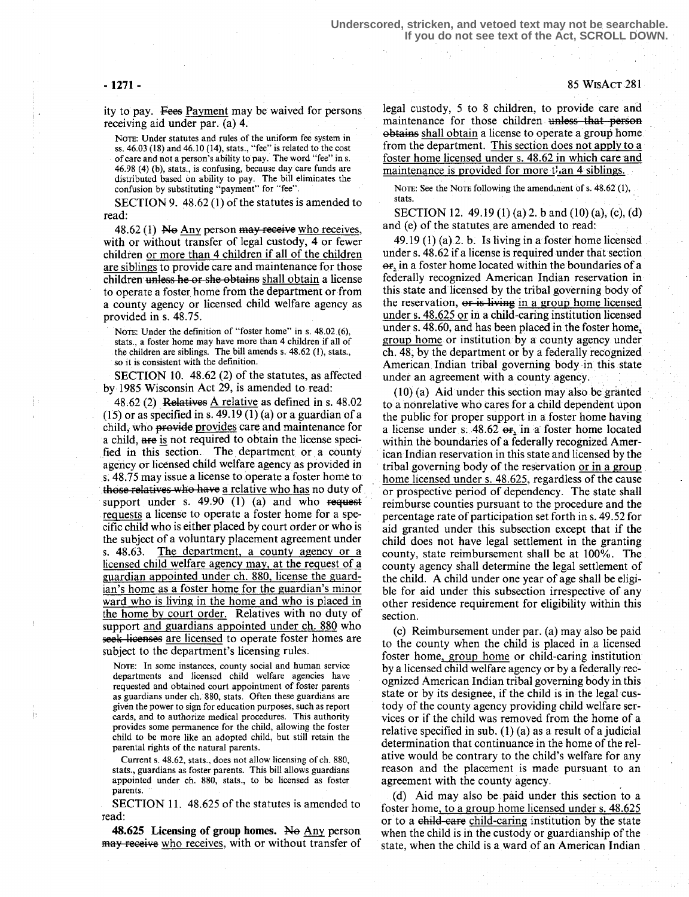Ţ.

İ3

ity to pay. Fees Payment may be waived for persons receiving aid under par. (a) 4.

NoTe: Under statutes and rules of the uniform fee system in ss.  $46.03(18)$  and  $46.10(14)$ , stats., "fee" is related to the cost of care and not a person's ability to pay. The word "fee" in s . 46.98 (4) (b), stats ., is confusing, because day care funds are distributed based on ability to pay. The bill eliminates the confusion by substituting "payment" for "fee" .

SECTION 9.  $48.62(1)$  of the statutes is amended to read:

48.62 (1) No Any person may receive who receives, with or without transfer of legal custody, 4 or fewer children or more than 4 children if all of the children are siblings to provide care and maintenance for those children unless he or she obtains shall obtain a license to operate a foster. home from the department or from a county agency or licensed child welfare agency as provided in s. 48.75.

NOTE: Under the definition of "foster home" in s. 48.02 (6), stats., a foster home may have more than 4 children if all of the children are siblings. The bill amends  $s. 48.62$  (1), stats., so it is consistent with the definition.

SECTION 10. 48.62 (2) of the statutes, as affected by 1985 Wisconsin Act 29, is amended to read:

48.62 (2) Relatives  $\triangle$  relative as defined in s. 48.02  $(15)$  or as specified in s. 49.19  $(1)$  (a) or a guardian of a child, who provides provides care and maintenance for a child, are is not required to obtain the license specified in this section. The department or a county agency or licensed child welfare agency as provided in s. 48 .75 may issue a license to operate a foster home to those relatives who have a relative who has no duty of support under s.  $49.90$  (1) (a) and who request requests a license to operate a foster home for a specific child who is either placed by court order or who is the subject of a voluntary placement agreement under s. 48.63. The department, a county agency or a licensed child welfare agency may, at the request of a guardian appointed under ch. 880, license the guardian's home as a foster home for the guardian's minor ward who is living in the home and who is placed in the home by court order. Relatives with no duty of support and guardians appointed under ch. 880 who seek licenses are licensed to operate foster homes are subject to the department's licensing rules.

NOTE: In some instances, county social and human service departments and licensed child welfare agencies have requested and obtained court appointment of foster parents as guardians under ch. 880, stats. Often these guardians are given the power to sign for education purposes, such as report cards, and to authorize medical procedures. This authority provides some permanence for the child, allowing the foster child to be more like an adopted child, but still retain the parental rights of the natural parents.

Current s. 48.62, stats., does not allow licensing of ch. 880, stats., guardians as foster parents. This bill allows guardians appointed under ch. 880, stats., to be licensed as foster parents.

SECTION 11. 48.625 of the statutes is amended to read:

48.625 Licensing of group homes. No Any person may receive who receives, with or without transfer of legal custody, 5 to 8 children, to provide care and maintenance for those children unless that person ehtains shall obtain a license to operate a group home from the department. This section does not apply to a foster home licensed under s. 48.62 in which care and maintenance is provided for more  $t<sup>i</sup>$  an 4 siblings.

NOTE: See the NOTE following the amend.nent of s. 48.62 (1), stats.

SECTION 12. 49.19 (1) (a) 2. b and (10) (a), (c), (d) and (e) of the statutes are amended to read:

49.19 (1) (a) 2. b. Is living in a foster home licensed under s. 48.62 if a license is required under that section  $er<sub>i</sub>$  in a foster home located within the boundaries of a federally recognized American Indian reservation in this state and licensed by the tribal governing body of the reservation, or is living in a group home licensed under s. 48.625 or in a child-caring institution licensed under s. 48.60, and has been placed in the foster home, group home or institution by a county agency under ch. 48; by the department or by a federally recognized American Indian tribal governing body in this state under an agreement with a county agency.

(10) (a) Aid under this section may also be granted to a nonrelative who cares for a child dependent upon the public for proper support in a foster home having a license under s.  $48.62$   $\text{er}_{1}$  in, a foster home located within the boundaries of a federally recognized American Indian reservation in this state and licensed by the tribal governing body of the reservation or in a group home licensed under s. 48.625, regardless of the cause or prospective period of dependency. The state shall reimburse counties pursuant to the procedure and the percentage rate of participation set forth in s. 49.52 for aid granted under this subsection except that if the child does not have legal settlement in the granting county, state reimbursement shall be at 100%. The county agency shall determine the legal settlement of the child. A child under one year of age shall be eligible for aid under this subsection irrespective of any other residence requirement for eligibility within this section.

(c) Reimbursement under par. (a) may also be paid to the county when the child is placed in a licensed foster home, group home or child-caring institution by a licensed child welfare agency or by a federally recognized American Indian tribal governing body in this state or by its designee, if the child is in the legal custody of the county agency providing child welfare services or if the child was removed from the home of a relative specified in sub. (1) (a) as a result of a judicial determination that continuance in the home of the relative would be contrary to the child's welfare for any reason and the placement is made pursuant to an agreement with the county agency.

(d) Aid may also be paid under this section to a foster home, to a group home licensed under s. 48.625 or to a child-care child-caring institution by the state when the child is in the custody or guardianship of the state, when the child is a ward of an American Indian

 $-1271-$  85 WisAct 281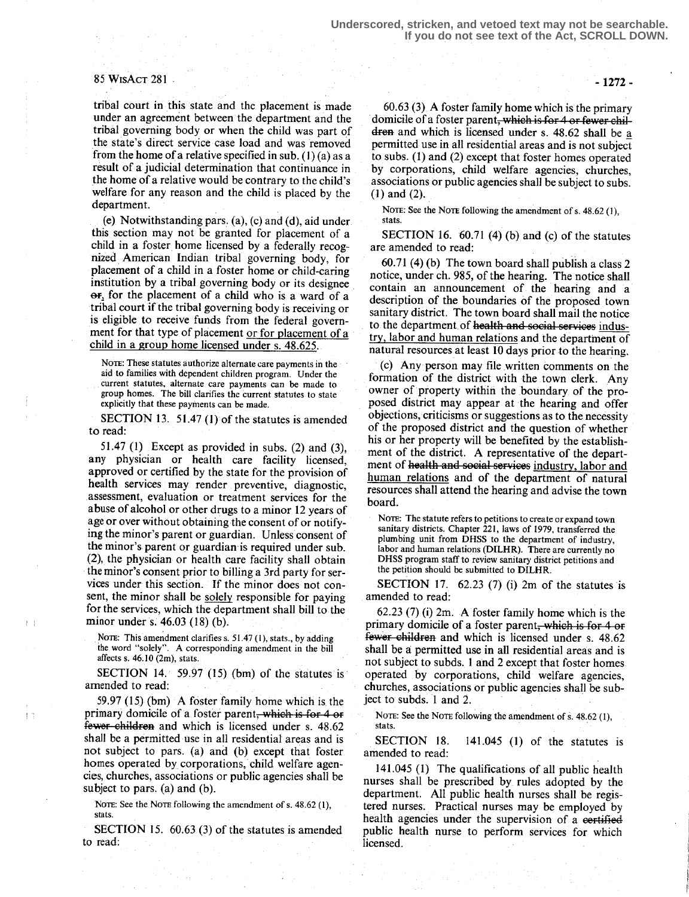### 85 WisAcT 281

tribal court in this state and the placement is made under an agreement between the department and the tribal governing body or when the child was part of the state's direct service case load and was removed from the home of a relative specified in sub. (1) (a) as a result of a judicial determination that continuance in the home of a relative would be contrary to the child's welfare for any reason and the child is placed by the department.

(e) Notwithstanding pars.  $(a)$ ,  $(c)$  and  $(d)$ , aid under this section may not be granted for placement of a child in a foster home licensed by a federally recognized American Indian tribal governing body, for placement of a child in a foster home or child-caring institution by a tribal governing body or its designee  $\Theta$ F<sub>1</sub> for the placement of a child who is a ward of a tribal court if the tribal governing body is receiving or is eligible to receive funds from the federal government for that type of placement or for placement of a child in a group home licensed under s. 48.625.

NOTE: These statutes authorize alternate care payments in the aid to families with dependent children program. Under the current statutes, alternate care payments can be made to group homes. The bill clarifies the current statutes to state explicitly that these payments can be made.

SECTION 13. 51.47 (1) of the statutes is amended to read:

51.47  $(1)$  Except as provided in subs.  $(2)$  and  $(3)$ , any physician or health care facility licensed, approved or certified by the state for the provision of health services may render preventive, diagnostic, assessment, evaluation or treatment services for the abuse of alcohol or other drugs to a minor 12 years of age or over without obtaining the consent of or notifying the minor's parent or guardian. Unless consent of the minor's parent or guardian is required under sub. (2), the physician or health care facility shall obtain the minor's consent prior to billing a 3rd party for services under this section. If the minor does not consent, the minor shall be solely responsible for paying for the services, which the department shall bill to the minor under s: 46.03 (18) (b).

NOTE: This amendment clarifies s. 51.47 (1), stats., by adding the word "solely". A corresponding amendment in the bill affects s.  $46.10$  (2m), stats.

 $\mathbf{L}$ 

ÌЗ

SECTION 14. 59.97 (15) (bm) of the statutes is amended to read:

59.97  $(15)$  (bm) A foster family home which is the primary domicile of a foster parent, which is for  $4$  or fewer-children and which is licensed under s. 48.62 shall be a permitted use in all residential areas and is not subject to pars. (a) and (b) except that foster homes operated by corporations, child welfare agencies, churches, associations or public agencies shall be subject to pars. (a) and  $(b)$ .

NOTE: See the NOTE following the amendment of s. 48.62 (1), stats.

SECTION 15. 60.63 (3) of the statutes is amended to read:

60.63 (3) A foster family home which is the primary domicile of a foster parent<del>, which is for 4 or fewer chil-</del> dren and which is licensed under s.  $48.62$  shall be a permitted use in all residential areas and is not subject to subs. (1) and (2) except that foster homes operated by corporations, child welfare agencies, churches, associations or public agencies shall be subject to subs. (1) and (2).

NOTE: See the NOTE following the amendment of s. 48.62 (1), stats.

SECTION 16. 60.71 (4) (b) and (c) of the statutes are amended to read:

60.71 (4) (b) The town board shall publish a class 2 notice, under ch. 985, of the hearing. The notice shall contain an announcement of the hearing and a description of the boundaries of the proposed town sanitary district. The town board shall mail the notice to the department of health and social services industry, labor and human relations and the department of natural resources at least 10 days prior to the hearing.

(c) Any person may file written comments on the formation of the district with the town clerk. Any owner of property within the boundary of the proposed district may appear at the hearing and offer objections, criticisms or suggestions as to the necessity of the proposed district and the question of whether his or her property will be benefited by the establishment of the district. A representative of the department of health and social services industry, labor and human relations and of the department of natural resources shall attend the hearing and advise the town board.

NOTE: The statute refers to petitions to create or expand town sanitary districts. Chapter 221, laws of 1979, transferred the plumbing unit from DHSS to the department of industry, labor and human relations (DILHR). There are currently no DHSS program staff to review sanitary district petitions and the petition should be submitted to DILHR.

SECTION 17. 62.23  $(7)$ , (i) 2m of the statutes is amended to read:

62.23 (7) (i) 2m. A foster family home which is the primary domicile of a foster parent<del>, which is for 4 or</del><br>fewer children and which is licensed under s, 48.62  $62.23$  (*l*) (i) 2m. A foster family home which is the primary domicile of a foster parent, which is for 4 or fewer children and which is licensed under s. 48.62 shall be a permitted use in all residential areas and is not subject to subds. 1 and 2 except that foster homes. operated by corporations, child welfare agencies, churches, associations or public agencies shall be subject to subds. 1 and 2.

NOTE: See the NOTE following the amendment of s. 48.62 (1), stats.

SECTION 18. 141.045 (1) of the statutes is amended to read:

141 .045 (1) The qualifications of all public health nurses shall be prescribed by rules adopted by the department. All public health nurses shall be registered nurses. Practical nurses may be employed by health agencies under the supervision of a certified public health nurse to perform services for which licensed.

- 1272 -